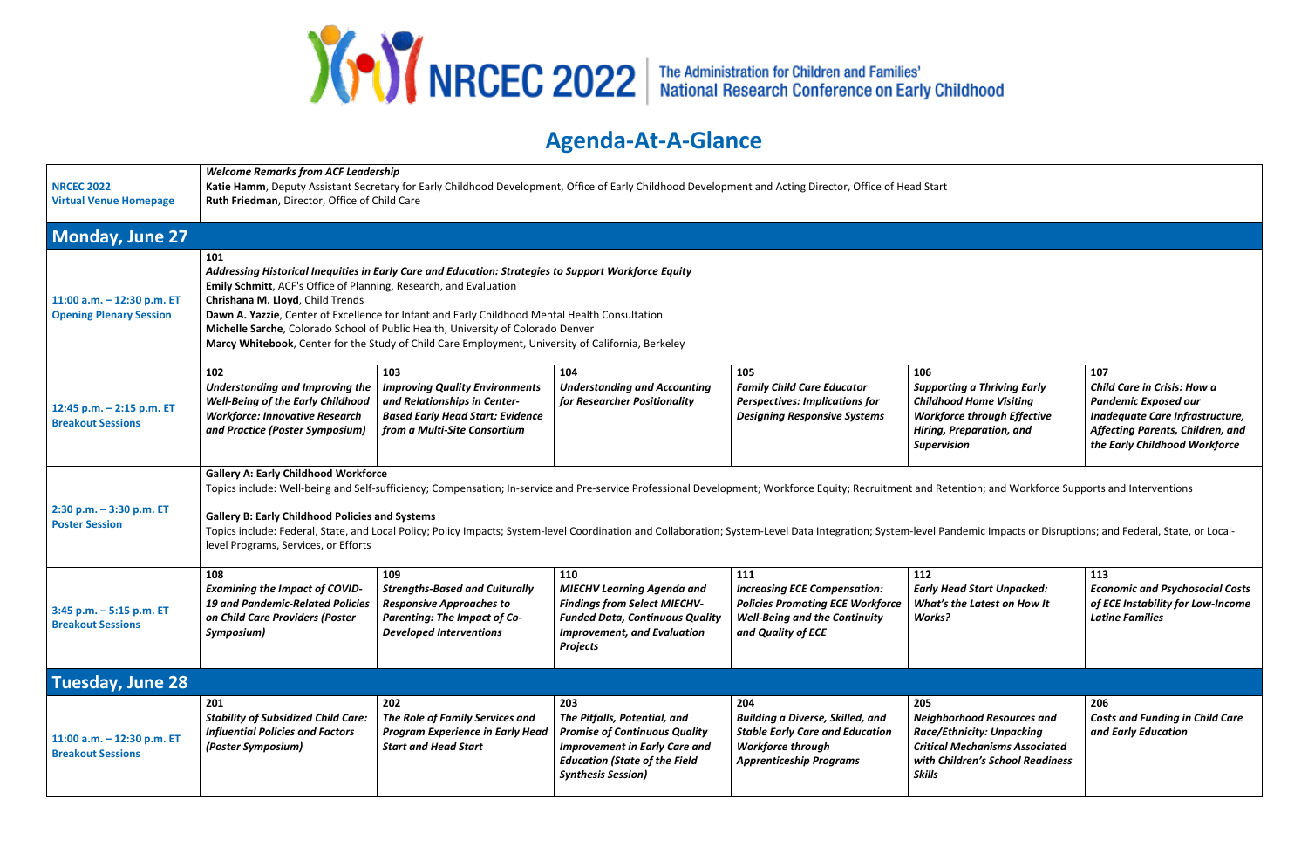

## **Agenda-At-A-Glance**

| <b>NRCEC 2022</b><br><b>Virtual Venue Homepage</b>           | <b>Welcome Remarks from ACF Leadership</b><br>Katie Hamm, Deputy Assistant Secretary for Early Childhood Development, Office of Early Childhood Development and Acting Director, Office of Head Start<br>Ruth Friedman, Director, Office of Child Care                                                                                                                                                                                                                                                                                                                                  |                                                                                                                                                          |                                                                                                                                                                                          |                                                                                                                                                        |                                                                                                                                                                            |                                                                                                                                                                           |  |
|--------------------------------------------------------------|-----------------------------------------------------------------------------------------------------------------------------------------------------------------------------------------------------------------------------------------------------------------------------------------------------------------------------------------------------------------------------------------------------------------------------------------------------------------------------------------------------------------------------------------------------------------------------------------|----------------------------------------------------------------------------------------------------------------------------------------------------------|------------------------------------------------------------------------------------------------------------------------------------------------------------------------------------------|--------------------------------------------------------------------------------------------------------------------------------------------------------|----------------------------------------------------------------------------------------------------------------------------------------------------------------------------|---------------------------------------------------------------------------------------------------------------------------------------------------------------------------|--|
| Monday, June 27                                              |                                                                                                                                                                                                                                                                                                                                                                                                                                                                                                                                                                                         |                                                                                                                                                          |                                                                                                                                                                                          |                                                                                                                                                        |                                                                                                                                                                            |                                                                                                                                                                           |  |
| 11:00 a.m. - 12:30 p.m. ET<br><b>Opening Plenary Session</b> | 101<br>Addressing Historical Inequities in Early Care and Education: Strategies to Support Workforce Equity<br>Emily Schmitt, ACF's Office of Planning, Research, and Evaluation<br>Chrishana M. Lloyd, Child Trends<br>Dawn A. Yazzie, Center of Excellence for Infant and Early Childhood Mental Health Consultation<br>Michelle Sarche, Colorado School of Public Health, University of Colorado Denver<br>Marcy Whitebook, Center for the Study of Child Care Employment, University of California, Berkeley                                                                        |                                                                                                                                                          |                                                                                                                                                                                          |                                                                                                                                                        |                                                                                                                                                                            |                                                                                                                                                                           |  |
| 12:45 p.m. - 2:15 p.m. ET<br><b>Breakout Sessions</b>        | 102<br>Understanding and Improving the<br><b>Well-Being of the Early Childhood</b><br><b>Workforce: Innovative Research</b><br>and Practice (Poster Symposium)                                                                                                                                                                                                                                                                                                                                                                                                                          | 103<br><b>Improving Quality Environments</b><br>and Relationships in Center-<br><b>Based Early Head Start: Evidence</b><br>from a Multi-Site Consortium  | 104<br><b>Understanding and Accounting</b><br>for Researcher Positionality                                                                                                               | 105<br><b>Family Child Care Educator</b><br><b>Perspectives: Implications for</b><br><b>Designing Responsive Systems</b>                               | 106<br><b>Supporting a Thriving Early</b><br><b>Childhood Home Visiting</b><br><b>Workforce through Effective</b><br>Hiring, Preparation, and<br><b>Supervision</b>        | 107<br>Child Care in Crisis: How a<br><b>Pandemic Exposed our</b><br>Inadequate Care Infrastructure,<br>Affecting Parents, Children, and<br>the Early Childhood Workforce |  |
| $2:30$ p.m. $-3:30$ p.m. ET<br><b>Poster Session</b>         | <b>Gallery A: Early Childhood Workforce</b><br>Topics include: Well-being and Self-sufficiency; Compensation; In-service and Pre-service Professional Development; Workforce Equity; Recruitment and Retention; and Workforce Supports and Interventions<br><b>Gallery B: Early Childhood Policies and Systems</b><br>Topics include: Federal, State, and Local Policy; Policy Impacts; System-level Coordination and Collaboration; System-Level Data Integration; System-level Pandemic Impacts or Disruptions; and Federal, State, or Local-<br>level Programs, Services, or Efforts |                                                                                                                                                          |                                                                                                                                                                                          |                                                                                                                                                        |                                                                                                                                                                            |                                                                                                                                                                           |  |
| 3:45 p.m. - 5:15 p.m. ET<br><b>Breakout Sessions</b>         | 108<br><b>Examining the Impact of COVID-</b><br><b>19 and Pandemic-Related Policies</b><br>on Child Care Providers (Poster<br>Symposium)                                                                                                                                                                                                                                                                                                                                                                                                                                                | 109<br><b>Strengths-Based and Culturally</b><br><b>Responsive Approaches to</b><br><b>Parenting: The Impact of Co-</b><br><b>Developed Interventions</b> | 110<br><b>MIECHV Learning Agenda and</b><br><b>Findings from Select MIECHV-</b><br><b>Funded Data, Continuous Quality</b><br><b>Improvement, and Evaluation</b><br>Projects              | 111<br><b>Increasing ECE Compensation:</b><br><b>Policies Promoting ECE Workforce</b><br><b>Well-Being and the Continuity</b><br>and Quality of ECE    | 112<br><b>Early Head Start Unpacked:</b><br>What's the Latest on How It<br>Works?                                                                                          | 113<br><b>Economic and Psychosocial Costs</b><br>of ECE Instability for Low-Income<br><b>Latine Families</b>                                                              |  |
| <b>Tuesday, June 28</b>                                      |                                                                                                                                                                                                                                                                                                                                                                                                                                                                                                                                                                                         |                                                                                                                                                          |                                                                                                                                                                                          |                                                                                                                                                        |                                                                                                                                                                            |                                                                                                                                                                           |  |
| 11:00 a.m. - 12:30 p.m. ET<br><b>Breakout Sessions</b>       | 201<br><b>Stability of Subsidized Child Care:</b><br><b>Influential Policies and Factors</b><br>(Poster Symposium)                                                                                                                                                                                                                                                                                                                                                                                                                                                                      | 202<br>The Role of Family Services and<br><b>Program Experience in Early Head</b><br><b>Start and Head Start</b>                                         | 203<br>The Pitfalls, Potential, and<br><b>Promise of Continuous Quality</b><br><b>Improvement in Early Care and</b><br><b>Education (State of the Field</b><br><b>Synthesis Session)</b> | 204<br><b>Building a Diverse, Skilled, and</b><br><b>Stable Early Care and Education</b><br><b>Workforce through</b><br><b>Apprenticeship Programs</b> | 205<br><b>Neighborhood Resources and</b><br><b>Race/Ethnicity: Unpacking</b><br><b>Critical Mechanisms Associated</b><br>with Children's School Readiness<br><b>Skills</b> | 206<br><b>Costs and Funding in Child Care</b><br>and Early Education                                                                                                      |  |